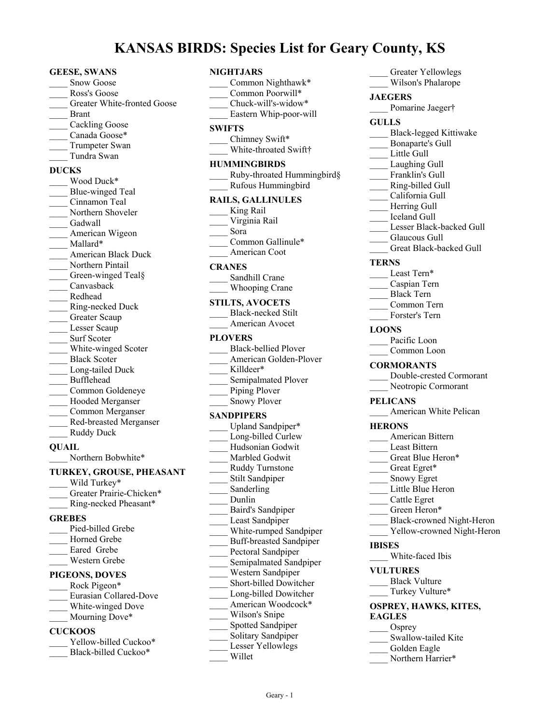# **KANSAS BIRDS: Species List for Geary County, KS**

#### **GEESE, SWANS**

| <b>Snow Goose</b>                  |
|------------------------------------|
| Ross's Goose                       |
| <b>Greater White-fronted Goose</b> |
| <b>Brant</b>                       |
| <b>Cackling Goose</b>              |
| Canada Goose*                      |
| Trumpeter Swan                     |
| Tundra Swan                        |
| <b>DUCKS</b>                       |
| Wood Duck*                         |
| Blue-winged Teal                   |
| Cinnamon Teal                      |
| Northern Shoveler                  |
| Gadwall                            |
| American Wigeon                    |
| Mallard*                           |
| American Black Duck                |
| Northern Pintail                   |
| Green-winged Teal§                 |
| $\frac{1}{2}$ Canvasback           |
| Redhead                            |
| Ring-necked Duck                   |
| Greater Scaup                      |
| Lesser Scaup                       |
| <b>Surf Scoter</b>                 |
| White-winged Scoter                |
| <b>Black Scoter</b>                |
| Long-tailed Duck                   |
| Bufflehead                         |
| Common Goldeneye                   |
| Hooded Merganser                   |
| Common Merganser                   |
| Red-breasted Merganser             |
| <b>Ruddy Duck</b>                  |
| <b>OUTATE</b>                      |

**QUAIL** \_Northern Bobwhite\*

# **TURKEY, GROUSE, PHEASANT**

| Wild Turkey*             |  |
|--------------------------|--|
| Greater Prairie-Chicken* |  |
| Ring-necked Pheasant*    |  |
| <b>GREBES</b>            |  |
| Pied-billed Grebe        |  |
| Horned Grebe             |  |
| Eared Grebe              |  |
| Western Grebe            |  |
| <b>PIGEONS, DOVES</b>    |  |

| Rock Pigeon*           |
|------------------------|
| Eurasian Collared-Dove |
| White-winged Dove      |
| Mourning Dove*         |
|                        |

### **CUCKOOS**

| Yellow-billed Cuckoo* |
|-----------------------|
| Black-billed Cuckoo*  |

# **NIGHTJARS**

| Common Nighthawk*<br>Common Poorwill*<br>Chuck-will's-widow*<br>Eastern Whip-poor-will                                                                                                                                                                                                                                                                                                                                                                                                                                |
|-----------------------------------------------------------------------------------------------------------------------------------------------------------------------------------------------------------------------------------------------------------------------------------------------------------------------------------------------------------------------------------------------------------------------------------------------------------------------------------------------------------------------|
| <b>SWIFTS</b><br>Chimney Swift*<br>White-throated Swift†                                                                                                                                                                                                                                                                                                                                                                                                                                                              |
| <b>HUMMINGBIRDS</b><br>Ruby-throated Hummingbird§<br>Rufous Hummingbird                                                                                                                                                                                                                                                                                                                                                                                                                                               |
| <b>RAILS, GALLINULES</b><br>King Rail<br>Virginia Rail<br>Sora<br>Common Gallinule*<br>American Coot                                                                                                                                                                                                                                                                                                                                                                                                                  |
| <b>CRANES</b><br>Sandhill Crane<br>Whooping Crane                                                                                                                                                                                                                                                                                                                                                                                                                                                                     |
| <b>STILTS, AVOCETS</b><br><b>Black-necked Stilt</b><br>American Avocet                                                                                                                                                                                                                                                                                                                                                                                                                                                |
| <b>PLOVERS</b><br>Black-bellied Plover<br>American Golden-Plover<br>Killdeer*<br>Semipalmated Plover<br>Piping Plover<br>Snowy Plover                                                                                                                                                                                                                                                                                                                                                                                 |
| <b>SANDPIPERS</b><br>Upland Sandpiper*<br>Long-billed Curlew<br>Hudsonian Godwit<br>Marbled Godwit<br><b>Ruddy Turnstone</b><br>Stilt Sandpiper<br>Sanderling<br>Dunlin<br>Baird's Sandpiper<br>Least Sandpiper<br>White-rumped Sandpiper<br><b>Buff-breasted Sandpiper</b><br>Pectoral Sandpiper<br>Semipalmated Sandpiper<br>Western Sandpiper<br>Short-billed Dowitcher<br>Long-billed Dowitcher<br>American Woodcock*<br>Wilson's Snipe<br>Spotted Sandpiper<br>Solitary Sandpiper<br>Lesser Yellowlegs<br>Willet |

| Greater Yellowlegs                |  |
|-----------------------------------|--|
| Wilson's Phalarope                |  |
| <b>JAEGERS</b>                    |  |
| Pomarine Jaeger†                  |  |
|                                   |  |
| <b>GULLS</b>                      |  |
| Black-legged Kittiwake            |  |
| Bonaparte's Gull                  |  |
| Little Gull                       |  |
| Laughing Gull                     |  |
| Franklin's Gull<br>$\mathbb{R}^2$ |  |
| Ring-billed Gull                  |  |
| California Gull                   |  |
| Herring Gull                      |  |
| Leeland Gull                      |  |
| Lesser Black-backed Gull          |  |
| Glaucous Gull                     |  |
| Great Black-backed Gull           |  |
| <b>TERNS</b>                      |  |
| Least Tern*                       |  |
| Caspian Tern                      |  |
| Black Tern                        |  |
| Common Tern                       |  |
| Forster's Tern                    |  |
|                                   |  |
| <b>LOONS</b><br>Pacific Loon      |  |
| Common Loon                       |  |
|                                   |  |
|                                   |  |
| <b>CORMORANTS</b>                 |  |
| Double-crested Cormorant          |  |
| Neotropic Cormorant               |  |
|                                   |  |
| <b>PELICANS</b>                   |  |
| American White Pelican            |  |
| <b>HERONS</b>                     |  |
| American Bittern                  |  |
| Least Bittern                     |  |
| Great Blue Heron*                 |  |
| Great Egret*                      |  |
| Snowy Egret                       |  |
| Little Blue Heron                 |  |
| Cattle Egret                      |  |
| Green Heron*                      |  |
| <b>Black-crowned Night-Heron</b>  |  |
| Yellow-crowned Night-Heron        |  |
| <b>IBISES</b>                     |  |
|                                   |  |
| White-faced Ibis                  |  |
| <b>VULTURES</b>                   |  |
| <b>Black Vulture</b>              |  |
| Turkey Vulture*                   |  |
| OSPREY, HAWKS, KITES,             |  |
| <b>EAGLES</b>                     |  |
| $\qquad$ Osprey                   |  |
| Swallow-tailed Kite               |  |

- \_\_\_\_ Golden Eagle
- \_\_\_\_ Northern Harrier\*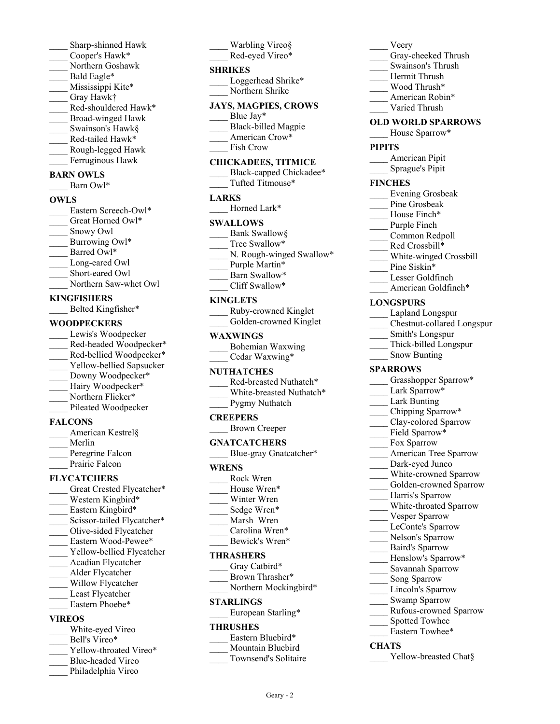Sharp-shinned Hawk \_\_\_\_ Cooper's Hawk\* \_\_\_\_ Northern Goshawk Bald Eagle\* Mississippi Kite\* \_\_\_\_ Gray Hawk† Red-shouldered Hawk\* \_\_\_\_ Broad-winged Hawk Swainson's Hawk§ Red-tailed Hawk\* \_\_\_\_ Rough-legged Hawk Ferruginous Hawk

#### **BARN OWLS**

Barn Owl\*

#### **OWLS**

| Eastern Screech-Owl*  |
|-----------------------|
| Great Horned Owl*     |
| Snowy Owl             |
| Burrowing Owl*        |
| Barred Owl*           |
| Long-eared Owl        |
| Short-eared Owl       |
| Northern Saw-whet Owl |
|                       |

#### **KINGFISHERS**

\_\_\_\_ Belted Kingfisher\*

#### **WOODPECKERS**

Lewis's Woodpecker Red-headed Woodpecker\* \_\_\_\_ Red-bellied Woodpecker\* Yellow-bellied Sapsucker Downy Woodpecker\* Hairy Woodpecker\* Northern Flicker\* Pileated Woodpecker

#### **FALCONS**

| American Kestrel§ |
|-------------------|
| Merlin            |
| Peregrine Falcon  |
| Prairie Falcon    |

#### **FLYCATCHERS**

- Great Crested Flycatcher\* Western Kingbird\* Eastern Kingbird\* Scissor-tailed Flycatcher\* \_\_\_\_ Olive-sided Flycatcher Eastern Wood-Pewee\* Yellow-bellied Flycatcher \_\_\_\_ Acadian Flycatcher \_\_\_\_ Alder Flycatcher Willow Flycatcher Least Flycatcher Eastern Phoebe\* **VIREOS** White-eyed Vireo Bell's Vireo\*
- Yellow-throated Vireo\*
- \_\_\_\_ Blue-headed Vireo
- Philadelphia Vireo

Warbling Vireo§ Red-eyed Vireo\* **SHRIKES** Loggerhead Shrike\* Northern Shrike

#### **JAYS, MAGPIES, CROWS**

- Blue Jay\*
- \_\_\_\_ Black-billed Magpie
- American Crow\*
- Fish Crow

# **CHICKADEES, TITMICE**

Black-capped Chickadee\* \_\_\_\_ Tufted Titmouse\*

# **LARKS**

# Horned Lark\*

## **SWALLOWS**

- Bank Swallow§ Tree Swallow\* N. Rough-winged Swallow\* Purple Martin\* Barn Swallow\*
- \_\_\_\_ Cliff Swallow\*

#### **KINGLETS**

| Ruby-crowned Kinglet   |
|------------------------|
| Golden-crowned Kinglet |

#### **WAXWINGS**

Cedar Waxwing\*

#### **NUTHATCHES**

| Red-breasted Nuthatch*   |
|--------------------------|
| White-breasted Nuthatch* |
| Pygmy Nuthatch           |

#### **CREEPERS**

\_\_\_\_ Brown Creeper

#### **GNATCATCHERS**

Blue-gray Gnatcatcher\*

#### **WRENS**

- \_\_\_\_ Rock Wren
- House Wren\*
- Winter Wren
- Sedge Wren\*
- Marsh Wren
- Carolina Wren\*
- Bewick's Wren\*

#### **THRASHERS**

Gray Catbird\*

- Brown Thrasher\*
- Northern Mockingbird\*

#### **STARLINGS**

European Starling\*

#### **THRUSHES**

- Eastern Bluebird\*
- Mountain Bluebird
- Townsend's Solitaire

Geary - 2

#### \_\_\_\_ Veery

- Gray-cheeked Thrush
- \_\_\_\_ Swainson's Thrush
- \_\_\_\_ Hermit Thrush
- \_\_\_\_ Wood Thrush\*
- American Robin\*
- \_\_\_\_ Varied Thrush

#### **OLD WORLD SPARROWS**

House Sparrow\*

#### **PIPITS**

- \_\_\_\_ American Pipit
- \_\_\_\_ Sprague's Pipit

#### **FINCHES**

- \_\_\_\_ Evening Grosbeak
- Pine Grosbeak
- House Finch\*
- Purple Finch
- \_\_\_\_ Common Redpoll
- \_\_\_\_ Red Crossbill\*
- \_\_\_\_ White-winged Crossbill
- Pine Siskin\*
- \_\_\_\_ Lesser Goldfinch
- American Goldfinch\*

#### **LONGSPURS**

- Lapland Longspur
- \_\_\_\_ Chestnut-collared Longspur
	- \_\_\_\_ Smith's Longspur
- \_\_\_\_ Thick-billed Longspur
- Snow Bunting

#### **SPARROWS**

- Grasshopper Sparrow\*
- Lark Sparrow\*
- Lark Bunting
- \_\_\_\_ Chipping Sparrow\*
- \_\_\_\_ Clay-colored Sparrow
- Field Sparrow\*
- Fox Sparrow
- \_\_\_\_ American Tree Sparrow
- Dark-eyed Junco
- White-crowned Sparrow

Vesper Sparrow LeConte's Sparrow Nelson's Sparrow \_\_\_\_ Baird's Sparrow Henslow's Sparrow\* \_\_\_\_ Savannah Sparrow Song Sparrow Lincoln's Sparrow Swamp Sparrow

\_\_\_\_ Rufous-crowned Sparrow

Yellow-breasted Chat§

Spotted Towhee Eastern Towhee\*

**CHATS**

- Golden-crowned Sparrow
- Harris's Sparrow \_\_\_\_ White-throated Sparrow